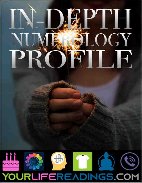# IN-DAPTH OGY **TAGE** PROFILE

## 学工作 **IFEREADINGS.COM** JRI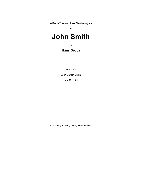**A Decoz® Numerology Chart Analysis** 

for

### **John Smith**

by

#### **Hans Decoz**

Birth data:

John Carlton Smith

July 15, 2001

© Copyright 1985, 2003, Hans Decoz.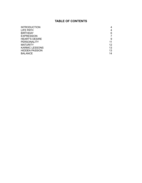#### **TABLE OF CONTENTS**

| <b>INTRODUCTION</b>   | 4  |
|-----------------------|----|
| <b>LIFE PATH</b>      | 4  |
| <b>BIRTHDAY</b>       | 6  |
| <b>EXPRESSION</b>     |    |
| <b>HEART'S DESIRE</b> | 9  |
| <b>PERSONALITY</b>    | 11 |
| <b>MATURITY</b>       | 12 |
| <b>KARMIC LESSONS</b> | 13 |
| <b>HIDDEN PASSION</b> | 13 |
| <b>BALANCE</b>        | 14 |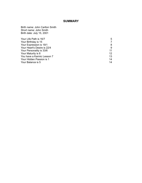#### **SUMMARY**

Birth name: John Carlton Smith Short name: John Smith Birth date: July 15, 2001

| Your Life Path is 16/7      | 5  |
|-----------------------------|----|
| Your Birthday is 15         |    |
| Your Expression is 19/1     | 8  |
| Your Heart's Desire is 22/4 | 9  |
| Your Personality is 33/6    | 11 |
| Your Maturity is 8          | 12 |
| You have a Karmic Lesson 7  | 13 |
| Your Hidden Passion is 1    | 14 |
| Your Balance is 5           | 14 |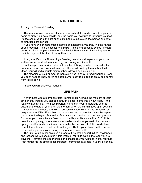#### **INTRODUCTION**

About your Personal Reading

 This reading was composed for you personally, John, and is based on your full name at birth, your date of birth, and the name you now use to introduce yourself. Please check your birth data on the title page to make sure the names and date of birth used are correct.

 If you have two or more middle names or last names, you may find the names strung together. This is necessary to make Transit and Essence cycles function correctly. For example, the name John Patrick Henry Hancock would appear on the title page as John PatrickHenry Hancock.

 John, your Personal Numerology Reading describes all aspects of your chart as they are understood in numerology, accurately and in-depth.

 Each chapter starts with a short introduction telling you where this particular number is found and how it affects you. This is followed by the number itself. Often, you will find a double digit number followed by a single digit.

 The meaning of your number is then explained in easy to read language. John, you don't need to know anything about numerology to be able to enjoy and benefit from this reading.

I hope you will enjoy your reading.

#### **LIFE PATH**

 If ever there was a moment of total transformation, it was the moment of your birth. In that instant, you stepped through a door in time into a new reality -- the reality of human life. The most important number in your numerology chart is based on the date of your birth, the moment when the curtain goes up in your life.

 Even at that moment, you were a person with your own unique character, as unique as your DNA. Everything that is you existed in potential, much like a play that is about to begin. Your entire life exists as a potential that has been prepared for. John, you have ultimate freedom to do with your life as you like: To fulfill its potential completely, or to make some smaller version of yourself. It all depends upon your effort and commitment. You make the decisions to fulfill, to whatever extent, the potential life that exists within you. That is your choice. In this sense, the possible you is implicit during the moment of your birth.

 The Life Path number gives us a broad outline of the opportunities, challenges, and lessons we will encounter in this lifetime. Your Life path is the road you are traveling. It reveals the opportunities and challenges you will face in life. Your Life Path number is the single most important information available in your Personality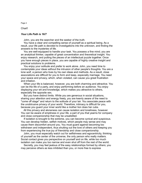#### Chart!

#### *Your Life Path is 16/7*

John, you are the searcher and the seeker of the truth.

 You have a clear and compelling sense of yourself as a spiritual being. As a result, your life path is devoted to investigations into the unknown, and finding the answers to the mysteries of life.

 You are well-equipped to handle your task. You possess a fine mind; you are an analytical thinker, capable of great concentration and theoretical insight. You enjoy research, and putting the pieces of an intellectual puzzle together. Once you have enough pieces in place, you are capable of highly creative insight and practical solutions to problems.

 You enjoy your solitude and prefer to work alone. John, you need time to contemplate your ideas without the intrusion of other people's thoughts. You are a lone wolf, a person who lives by his own ideas and methods. As a result, close associations are difficult for you to form and keep, especially marriage. You need your space and privacy, which, when violated, can cause you great frustration and irritation.

 When your life is balanced, however, you are both charming and attractive. You can be the life of a party, and enjoy performing before an audience. You enjoy displaying your wit and knowledge, which makes you attractive to others, especially the opposite sex.

 But you have distinct limits. While you are generous in social situations, sharing your attention and energy freely, you are keenly aware of the need to "come off stage" and return to the solitude of your lair. You associate peace with the unobtrusive privacy of your world. Therefore, intimacy is difficult for you, because you guard your inner world like a mother lion does her cubs.

 All this privacy and aloneness can cause isolation and loneliness, however. You can be aware of emptiness in your life, a part of you that yearns for company and close companionship that may be unsatisfied.

 If isolation is brought to the extreme, you can become cynical and suspicious. You can develop hidden, selfish motives, which people may sense and may cause them discomfort around you. You must guard against becoming too withdrawn and independent, thus shutting out the love of others and keeping you from experiencing the true joy of friendship and close companionship.

 John, you must especially watch out for selfishness and egocentricity, thinking of yourself as the center of the universe, the only person who really matters. Social contact gives you perspective on yourself and on life, while too much isolation can make you too narrow and even shut off from the rest of the world.

 Secretly, you may feel jealous of the easy relationships formed by others; you may perceive others as less inhibited than you, or more free to express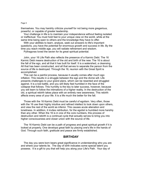themselves. You may harshly criticize yourself for not being more gregarious, powerful, or capable of greater leadership.

 Your challenge in life is to maintain your independence without feeling isolated or ineffectual. You must hold fast to your unique view on the world, while at the same time being open to others and the knowledge they have to offer.

 With your abilities to learn, analyze, seek out answers to life's important questions, you have the potential for enormous growth and success in life. By the time you reach middle age, you will radiate refinement and wisdom.

Pythagoras loved the seven for its great spiritual potential.

 John, your 16 Life Path also reflects the presence of a Karmic Debt. The 16 Karmic Debt means destruction of the old and birth of the new. The 16 is about the fall of the ego, and all that it has built for itself. It is a watershed, a cleansing. All that has been constructed, and all that serves to separate the person from the source of life is destroyed. Through the 16, reunion with the Great Spirit is accomplished.

 This can be a painful process, because it usually comes after much ego inflation. This results in a struggle between the ego and the divine will. Life presents challenges to your grand plans, which can be resented and struggled against. It is a lost battle, and you will likely feel humbled in the face of the collapse that follows. This humility is the key to later success, however, because you will learn to follow the intimations of a higher reality. In the destruction of the old, a spiritual rebirth takes place with an entirely new awareness. This rebirth affects every area of your life. It is a life much the better for the fall.

 Those with the 16 Karmic Debt must be careful of egotism. Very often, those with the 16 use their highly intuitive and refined intellect to look down upon others, and view the rest of the world as inferior. This causes acute alienation and loneliness. In addition, it invites retribution, for the egotist is humbled more harshly than any other. When the 16 is in one of the core numbers, this process of destruction and rebirth is a continual cycle that actually serves to bring you into higher consciousness and closer union with the source of life.

 The 16 Karmic Debt can be a path of progress and great spiritual growth if it is looked at properly. One develops great faith by placing one's life in the hands of God. Through such faith, gratitude and peace are firmly established.

#### **BIRTHDAY**

 The day you were born bears great significance in understanding who you are and where your talents lie. The day of birth indicates some special talent you possess. It is a gift to you that will help you along your Life's Path. Your day of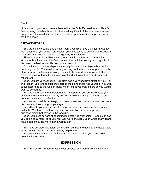birth is one of your four core numbers -- the Life Path, Expression, and Heart's Desire being the other three. It is the least significant of the four core numbers, but perhaps the most finite, in that it reveals a specific ability you possess in a marked degree.

#### *Your Birthday is 15*

 You are highly creative and artistic. John, you also have a gift for languages. No matter what you do as a profession, your love tends to be the arts, especially the visual arts, such as painting, calligraphy, or sculpture.

 There is a yearning within you to ground within the family or community structure, but there is a hint of wanderlust, too, which makes grounding difficult. You want the best in your life, and you strive for it.

 Commitment to relationships -- especially home and marriage -- is a central issue in your life. You must be willing to bring out the best in your partner, or the place you live. In the same way, you must truly commit to your own abilities - make the most of them! Honor your talent and cultivate it with hard work and refinement.

 John, you are very sensitive. Criticism has a very negative effect on you. For this reason, you tend to support others to the point of denying yourself. You want to live according to the Golden Rule, which is that you treat others as you would want to be treated.

 You are generous and understanding. As a parent, you are devoted to your children and can maintain stability and love within the family. You tend to be demonstrative in your affections.

 You are responsible but keep your own counsel and make your own decisions. You probably look young for your age.

 In addition to your artistic talent, you possess sound business and financial instincts. You tend to be thorough and conscientious in your approach to business, traits that pay off in the long run.

 John, you must beware of becoming too soft in relationships. People can see you as an easy mark, or abuse your well-worn shoulder, upon which many tears have been shed. Be more than a willing ear.

 You have considerable talent as a healer, but need to develop the actual tools of the healing vocation in order to truly help others.

 You are multi-talented and with focus and determination, you have great potential for success.

#### **EXPRESSION**

Your Expression number reveals your physical and mental constitution, the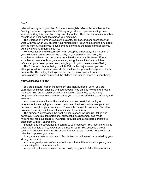orientation or goal of your life. Some numerologists refer to this number as the Destiny, because it represents a lifelong target at which you are aiming. You work at fulfilling this potential every day of your life. Thus, the Expression number reveals your inner goal, the person you aim to be.

 The Expression number reveals the talents, abilities, and shortcomings that were with you when you entered your human body. Your name, and the numbers derived from it, reveals your development, as well as the talents and issues you will be working with during this life.

 For those for whom reincarnation is an accepted philosophy, the vibration of your full name can be seen as the totality of your personal evolution, the experiences, talents, and wisdom accumulated over many life times. Every experience, no matter how great or small, along this evolutionary path has influenced your development, and brought you to your current state of being.

 The Expression is your being; the Life Path is the major lesson you are attempting to learn this time around. Time allows the gradual emergence of your personality. By reading the Expression number below, you will come to understand your basic nature and the abilities and issues inherent in your being.

#### *Your Expression is 19/1*

 You are a natural leader, independent and individualistic. John, you are extremely ambitious, original, and courageous. You employ new and unproven methods. You are an explorer and an innovator. Openness to too many peripheral influences limits and frustrates you. You are self-reliant, confident, and energetic.

 You possess executive abilities and are most successful at owning or independently managing a business. You need the freedom to make your own decisions, based on your own ideas. You can be an astute politician. You also possess the ability to influence the opinions of your milieu.

 The number 1 symbolizes the front-runner, pioneer, warrior, risk-taker, and daredevil. Generals, top politicians, successful businessmen, self-made millionaires, religious leaders, inventors, activists, and avant-garde artists are often born with a 1 Expression.

 Strength and perseverance are central to your success. You must be willing to travel the frontiers of life, away from the beaten path. You possess a great reserve of willpower that must be directed at your goals. You do not give up, but relentlessly pursue your aims.

 John, you are quite opinionated. People tend to be inspired or repelled by your strong personality.

 You have great powers of concentration and the ability to visualize your goals, thus making them more attainable.

You stand up for your convictions and hold your ground. All of these abilities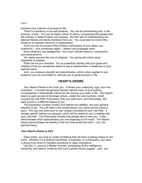enhance your chances of success in life.

 There is a tendency to be self-centered. You can be domineering and, in the extreme, a bully. You can be highly critical of others, complaining that people lack the industry or determination you possess. But this lack of understanding can alienate friends and family members from you. You must learn to control this tendency to maintain harmony in relationships.

 Once you are convinced of the inherent correctness of your ideas, you stubbornly -- and sometimes rigidly -- defend and propagate them.

 Avoid obstinacy and antagonism. You must cultivate balance, compassion, and perseverance.

 You easily assume the role of protector. You spring into action when leadership is needed.

 Pride can be your downfall. You so powerfully identify with your goals and ambitions that you sometimes refuse to see a potential flaw or weakness in your well-laid plans.

 John, you possess strength and determination, which, when applied to any endeavor you are committed to, will lead you to great success in life.

#### **HEART'S DESIRE**

 Your Heart's Desire is the inner you. It shows your underlying urge, your true motivation. It reveals the general intention behind many of your actions. Consequently, it dramatically influences the choices you make in life. The Heart's desire is seen as part of the larger picture, called the core numbers, which includes the Life Path, Expression, Day you were born, and Personality. But each points to a different aspect of you.

 The Expression number reveals your talents and abilities, and your general direction in life. The Life Path is the central lesson you came into the world to learn. The Day you were born is very closely connected to your Life Path. It reveals specific talents you possess, which will be helpful to you in dealing with your Life Path. The Personality reveals how people tend to see you. It also demonstrates what characteristics you are projecting to the world. The Heart's Desire demonstrates the identity of the soul that joined the earth -- you, the spiritual being.

#### *Your Heart's Desire is 22/4*

 Deep inside, you long to create something that will have a lasting impact on the world. Whether it is a political movement, a business, or a philosophy, you have a strong inner drive to manifest something of major importance.

 Like the 11, yours is a Master Number, possessing all the intelligence, sensitivity, and electric creativity that such a power would suggest. John, you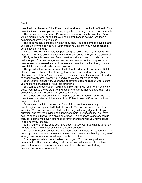have the inventiveness of the 11 and the down-to-earth practicality of the 4. This combination can make you supremely capable of making your ambitions a reality.

 The demands of this Heart's Desire are as enormous as its potential. What will be required from you to fulfill your noble ambitions is nothing less than a commitment of your entire being.

 The path you have chosen is not an easy one. You need time to develop, and you are unlikely to begin to fulfill your ambitions until after you have reached a certain level of maturity.

 Whether you know it or not, you possess great power within your being. You were born with this power in a latent state, but on some level you were aware of it. Early in life, this power manifested itself as awkwardness and a discomfort inside of you. Your self image has always been one of contradictory extremes: on one hand you sensed your uniqueness and potential; on the other you may have felt insecure and perhaps even inferior.

 This paradox has caused waves of self-doubt and lack of confidence. But it also is a powerful generator of energy that, when combined with the higher characteristics of the 22, can become a dynamic and unrelenting force. In order to channel such great power, you need a noble goal for which to aim.

 John, you will probably try your hand at several different kinds of work before you rise to the challenge of your true ambitions.

 You can be a great leader, inspiring and motivating with your vision and work ethic. Your ideas are so creative and superior that they inspire enthusiasm and sometimes even devotion among your co-workers.

 You should be involved in large enterprises or governmental institutions. You have the organizational diplomatic skills sufficient to keep difficult and delicate projects on track.

 Once you come into possession of your full power, there are many psychological and spiritual pitfalls to be faced. You can become arrogant and superior. You can become deluded into thinking that your judgment is beyond question, and that the advice and support of others is unnecessary. You may seek to control all power in a given enterprise. This dangerous and egocentric attitude is sometimes even extended to family members who you may seek to keep under your thumb.

 John, your challenge, once you have begun to use your true gifts, is to remain humble in the face of your significant accomplishments.

 You perform best when your domestic foundation is stable and supportive; it is very important to have a partner who shares your dreams and has high degree of strength and independence to keep up with your drive.

 Challenges somehow draw the best out of you. Your human qualities - creativity, humility, understanding, and compassion -- increase with the level of your performance. Therefore, commitment to excellence is central to your success and inner development.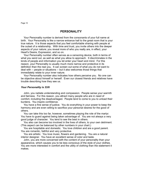**PERSONALITY** 

 Your Personality number is derived from the consonants of your full name at birth. Your Personality is like a narrow entrance hall to the great room that is your true nature. It is those aspects that you feel comfortable sharing with people at the outset of a relationship. With time and trust, you invite others into the deeper aspects of your nature; you reveal more of who you really are, in effect, your Heart's Desire, Expression, and so on.

 Your Personality number often serves as a censoring device, both in terms of what you send out, as well as what you allow to approach. It discriminates in the kinds of people and information you let enter your heart and mind. For this reason, your Personality is usually much more narrow and protective in its definition than the real you. It can screen out some of what you do not want to deal with -- people or situations -- but it also welcomes those things that immediately relate to your inner nature.

 Your Personality number also indicates how others perceive you. No one can be objective about himself or herself. Even our closest friends and relatives have trouble describing how they see us.

#### *Your Personality is 33/6*

 John, you radiate understanding and compassion. People sense your warmth and fairness. For this reason, you attract many people who are in need of comfort, including the disadvantaged. People tend to come to you to unload their burdens. You inspire confidence.

 You have a fine sense of justice. You do everything in your power to keep the harmony and are even willing to sacrifice your personal desires for the good of others.

 You can take this too far, however, sometimes playing the role of the martyr. You have to guard against being taken advantage of. You are not always a very good judge of character. You tend to see the best in others.

 You also can become too involved in the lives of others, to your own detriment. (This aspect can be balanced by other numbers in your chart.)

 You are hospitable and domestic. You love children and are a good parent. You are romantic, faithful and very protective.

 You are artistic. You love music, flowers and gardening. You are a natural interior designer. You have an excellent sense of color and taste.

 John, you are more concerned with the content of your personality than your appearance, which causes you to be less conscious of the style of your clothes. You are more interested in comfort and the utility of clothing than the statement it makes.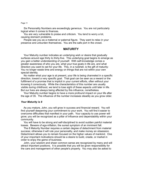Six Personality Numbers are exceedingly generous. You are not particularly logical when it comes to finances.

 You are very vulnerable to praise and criticism. You tend to worry a lot, causing stomach problems.

 People see you as a maternal or paternal figure. They want to relax in your presence and unburden themselves. You are the safe port in the crowd.

#### **MATURITY**

 Your Maturity number indicates an underlying wish or desire that gradually surfaces around age thirty to thirty-five. This underlying goal begins to emerge as you gain a better understanding of yourself. With self-knowledge comes a greater awareness of who you are, what your true goals in life are, and what direction you want to set for your life. This, in a nutshell, is the gift of maturity: You no longer waste time and energy on things that are not within your own special identity.

 No matter what your age is at present, your life is being channeled in a specific direction, toward a very specific goal. That goal can be seen as a reward or the fulfillment of a promise that is implicit in your current efforts, often without your knowing it consciously. While the characteristics of this number are usually visible during childhood, we tend to lose sight of these aspects until later in life. But our lives are always being affected by this influence, nonetheless.

 Your Maturity number begins to have a more profound impact on your life after the age of 35. The influence of the number increases steadily as you grow older.

#### *Your Maturity is 8*

 As you mature, John, you will grow in success and financial reward. You will find yourself deepening your commitment to your work. You will find it easier to overcome difficulties that manifest in your path. Your capacity to use power will grow; you will be recognized as a pillar of influence and dependability within your community.

 You will have to be strong and self-disciplined to avoid sudden painful material losses. Beware of ego-inflation, the surest symptom of an imminent fall.

 The 8 Maturity Number requires a certain degree of detachment from material success; otherwise it will rule your personality, and make money an obsession. Detachment allows you to remain focused on the higher values of mankind. One of your important motivations should be a desire to build, create, or market in order to enjoy the game of business.

 John, your wisdom and sheer common sense are recognized by many and will attract important positions. It is possible that you will be given responsibility for the care and management of other people's property. You may also be asked to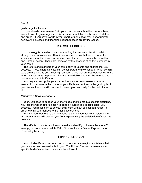guide large institutions.

 If you already have several 8s in your chart, especially in the core numbers, you will have to guard against selfishness, accumulation for the sake of status, and greed. If you have few 8s in your chart, or none at all, your opportunity to achieve the success and financial independence is greatly increased.

#### **KARMIC LESSONS**

 Numerology is based on the understanding that we enter life with certain strengths and weaknesses. Karmic lessons are areas that we are currently weak in and must be faced and worked on in this life. There can be more than one Karmic Lesson. These are indicated by the absence of certain numbers in your name.

 The letters and numbers of your name point to talents and abilities that you possess. These characteristics can be compared to a workshop in which certain tools are available to you. Missing numbers, those that are not represented in the letters in your name, imply tools that are unavailable, and must be learned and mastered during this lifetime.

 You may well recognize your Karmic Lessons as weaknesses you have learned to overcome in the course of your life, however, the challenges implied in your Karmic Lessons will continue to come up occasionally for the rest of your life.

#### *You have a Karmic Lesson 7*

 John, you need to deepen your knowledge and talents in a specific discipline. You lack the will or determination to perfect yourself or a specific talent you possess. You must learn to be your own critic, without self condemnation, in order to bring your abilities to their full development.

 You will learn not to take things at face value. A superficial understanding of important matters will prevent you from experiencing the satisfaction of your true potential.

 The effects of this Karmic Lesson are diminished if you have at least one 7 among your core numbers (Life Path, Birthday, Hearts Desire, Expression, or Personality Number).

#### **HIDDEN PASSION**

 Your Hidden Passion reveals one or more special strengths and talents that you rely upon and are available to you. The Hidden Passion represents your specific field of expertise, or a concentrated talent.